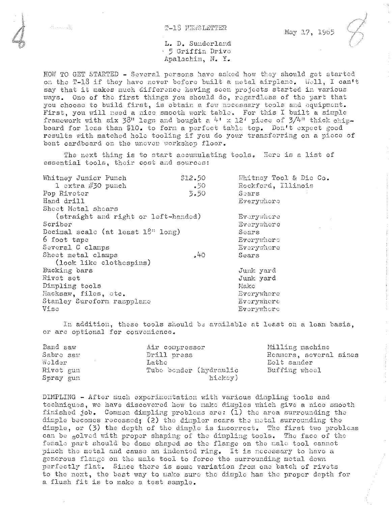Sycamore Re

May 17, 1965

L. D. Sunderland · 5 Griffin Drive Apalachin, N. Y.

HOW TO GET STARTED - Several persons have asked how they should get started on the T-18 if they have never before built a metal airplane. Well, I can't say that it makes much difference having seen projects started in various ways. One of the first things you should do, regardless of the part that you choose to build first, is obtain a few necessary tools and equipment. First, you will need a nice smooth work table. For this I built a simple framework with six  $38$ <sup>u</sup> legs and bought a 4' x 12' piece of  $3/4$ <sup>u</sup> thick chipboard for loss than \$10. to form a perfect table top. Don't expect good results with matched hole tooling if you do your transferring on a piece of bent cardboard on the uneven workshop floor.

The next thing is to start accumulating tools. Here is a list of essential tools, their cost and sources:

| Whitney Junior Punch                | \$12.50    | Whitney Tool & Die Co. |  |  |
|-------------------------------------|------------|------------------------|--|--|
| 1 extra $#30$ punch                 | . 50       | Rockford, Illinois     |  |  |
| Pop Rivoter                         | 3.50       | Sears                  |  |  |
| Hand drill                          |            | Everywhere             |  |  |
| Sheet Metal shears                  |            |                        |  |  |
| (straight and right or left-handed) | Everywhere |                        |  |  |
| Scriber                             | Everywhere |                        |  |  |
| Decimal scale (at least $18n$ long) | Sears      |                        |  |  |
| 6 foot tape                         |            | Everywhere             |  |  |
| Several C clamps                    |            | Everywhere             |  |  |
| Sheet metal clamps                  | .40        | Sears                  |  |  |
| (look like clothespins)             |            |                        |  |  |
| Bucking bars                        |            | Junk yard              |  |  |
| Rivet set                           |            | Junk yard              |  |  |
| Dimpling tools                      |            | Make                   |  |  |
| Hacksaw, files, etc.                |            | Everywhere             |  |  |
| Stanley Sureform raspplane          |            | Everywhere             |  |  |
| Vise                                |            | Everywhere             |  |  |
|                                     |            |                        |  |  |

In addition, these tools should be available at least on a loan basis. or are optional for convenience.

| Band saw  | Air compressor         | Milling machine        |  |  |
|-----------|------------------------|------------------------|--|--|
| Sabre saw | Drill press            | Reamers, several sizes |  |  |
| Wolder.   | Lathe                  | Belt sander            |  |  |
| Rivet gun | Tube bender (hydraulic | Buffing wheel          |  |  |
| Spray gun | hickcy)                |                        |  |  |

DIMPLING - After much experimentation with various dimpling tools and techniques, we have discovered how to make dimples which give a nice smooth finished job. Common dimpling problems are: (1) the area surrounding the dimple becomes recessed; (2) the dimpler scars the metal surrounding the dimple, or (3) the depth of the dimple is incorrect. The first two problems can be solved with proper shaping of the dimpling tools. The face of the female part should be dome shaped so the flange on the male tool cannot pinch the metal and cause an indented ring. It is necessary to have a generous flange on the male tool to force the surrounding metal down perfectly flat. Since there is some variation from one batch of rivets to the next, the best way to make sure the dimple has the proper depth for a flush fit is to make a test sample.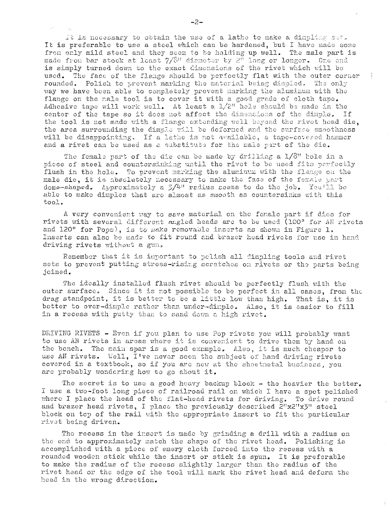It is necessary to obtain the use of a lathe to make a dimpling set. It is preferable to use a steel which can be hardened, but I have made some from only mild steel and they seem to be holding up well. The male part is made from bar stock at least 7/8" diameter by 2<sup>0</sup> long or longer. One end is simply turned down to the exact dimensions of the rivet which will be used. The face of the flange should be perfectly flat with the outer corner rounded. Polish to prevent marking the material being dimpled. The only way we have been able to completely prevent marking the aluminum with the flange on the male tool is to cover it with a good grade of cloth tape. Adhesive tape will work well. At least a  $1/2$ " hole should be made in the center of the tape so it does not affect the dimensions of the dimple. If the tool is not made with a flange extending well beyond the rivet head die, the area surrounding the dimple will be deformed and the surface smoothness will be disappointing. If a lathe is not available, a tape-covered hammer and a rivet can be used as a substitute for the male part of the die.

The female part of the die can be made by drilling a  $1/8$ " hole in a picce of steel and countersinking until the rivet to be used fits perfectly flush in the hole. To prevent marking the aluminum with the flange on the male die, it is absolutely necessary to make the face of the female part dome-shaped. Approximately a  $\frac{7}{4}$ <sup>11</sup> radius seems to do the job. You'll be able to make dimples that are almost as smooth as countersinks with this  $\text{tool.}$ 

A very convenient way to save material on the female part if dies for rivets with several different angled heads are to be used (100° for AN rivets and 120° for Pops), is to make removable inserts as shown in Figure 1. Inserts can also be made to fit round and brazer head rivets for use in hand driving rivets without a gun,

Remember that it is important to pelish all dimpling tools and rivet sets to prevent putting stress-rising scratches on rivets or the parts being joined.

The ideally installed flush rivet should be perfectly flush with the outer surface. Since it is not possible to be perfect in all cases, from the drag standpoint, it is better to be a little low than high. That is, it is better to over-dimple rather than under-dimple. Also, it is easier to fill in a recess with putty than to sand down a high rivet.

DRIVING RIVETS - Even if you plan to use Pop rivets you will probably want to use AN rivets in areas where it is convenient to drive them by hand on the bench. The main spar is a good example. Also, it is much cheaper to use AN rivets. Well, I've never seen the subject of hand driving rivets covered in a textbook, so if you are new at the sheetnetal business, you are probably wondering how to go about it.

The secret is to use a good heavy backup block - the heavier the better. I use a two-foot long piece of railroad rail on which I have a spot polished where I place the head of the flat-head rivets for driving, To drive round and brazer head rivets, I place the previously described 2"x2"x3" steel block on top of the rail with the appropriate insert to fit the particular rivet being driven.

The recess in the insert is made by grinding a drill with a radius on the end to approximately match the shape of the rivet head. Polishing is accomplished with a piece of emery cloth forced into the recess with a rounded wooden stick while the insert or stick is spun. It is preferable to make the radius of the recess slightly larger than the radius of the rivet head or the edge of the tool will mark the rivet head and deform the head in the wrong direction.